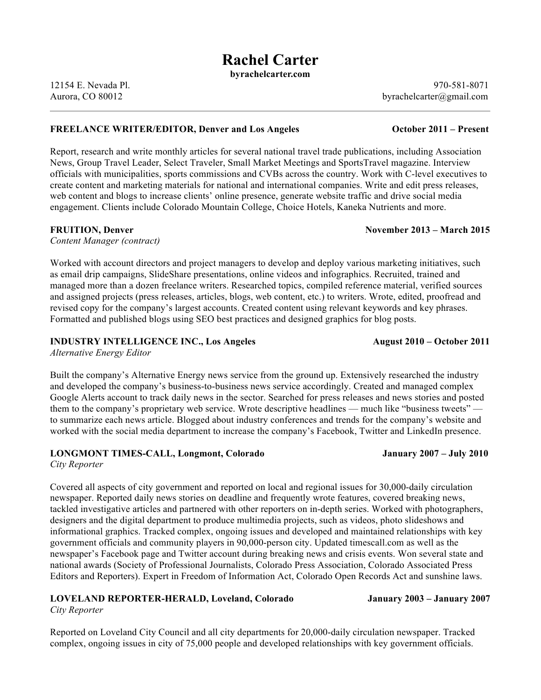# **Rachel Carter**

**byrachelcarter.com**

12154 E. Nevada Pl. 970-581-8071 Aurora, CO 80012 byrachelcarter@gmail.com

### **FREELANCE WRITER/EDITOR, Denver and Los Angeles October 2011 – Present**

Report, research and write monthly articles for several national travel trade publications, including Association News, Group Travel Leader, Select Traveler, Small Market Meetings and SportsTravel magazine. Interview officials with municipalities, sports commissions and CVBs across the country. Work with C-level executives to create content and marketing materials for national and international companies. Write and edit press releases, web content and blogs to increase clients' online presence, generate website traffic and drive social media engagement. Clients include Colorado Mountain College, Choice Hotels, Kaneka Nutrients and more.

### **FRUITION, Denver November 2013 – March 2015**

*Content Manager (contract)*

Worked with account directors and project managers to develop and deploy various marketing initiatives, such as email drip campaigns, SlideShare presentations, online videos and infographics. Recruited, trained and managed more than a dozen freelance writers. Researched topics, compiled reference material, verified sources and assigned projects (press releases, articles, blogs, web content, etc.) to writers. Wrote, edited, proofread and revised copy for the company's largest accounts. Created content using relevant keywords and key phrases. Formatted and published blogs using SEO best practices and designed graphics for blog posts.

## **INDUSTRY INTELLIGENCE INC., Los Angeles August 2010 – October 2011**

*Alternative Energy Editor*

Built the company's Alternative Energy news service from the ground up. Extensively researched the industry and developed the company's business-to-business news service accordingly. Created and managed complex Google Alerts account to track daily news in the sector. Searched for press releases and news stories and posted them to the company's proprietary web service. Wrote descriptive headlines — much like "business tweets" to summarize each news article. Blogged about industry conferences and trends for the company's website and worked with the social media department to increase the company's Facebook, Twitter and LinkedIn presence.

## **LONGMONT TIMES-CALL, Longmont, Colorado January 2007 – July 2010**

*City Reporter* 

Covered all aspects of city government and reported on local and regional issues for 30,000-daily circulation newspaper. Reported daily news stories on deadline and frequently wrote features, covered breaking news, tackled investigative articles and partnered with other reporters on in-depth series. Worked with photographers, designers and the digital department to produce multimedia projects, such as videos, photo slideshows and informational graphics. Tracked complex, ongoing issues and developed and maintained relationships with key government officials and community players in 90,000-person city. Updated timescall.com as well as the newspaper's Facebook page and Twitter account during breaking news and crisis events. Won several state and national awards (Society of Professional Journalists, Colorado Press Association, Colorado Associated Press Editors and Reporters). Expert in Freedom of Information Act, Colorado Open Records Act and sunshine laws.

### **LOVELAND REPORTER-HERALD, Loveland, Colorado January 2003 – January 2007**  *City Reporter*

Reported on Loveland City Council and all city departments for 20,000-daily circulation newspaper. Tracked complex, ongoing issues in city of 75,000 people and developed relationships with key government officials.